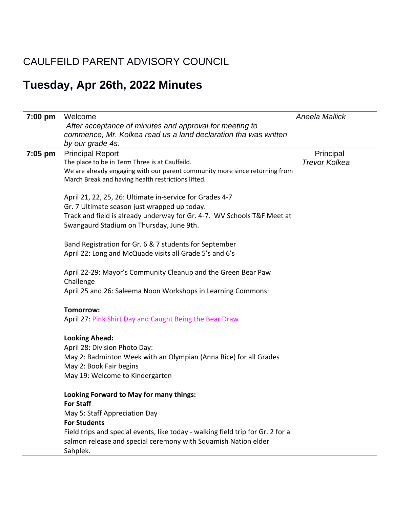## CAULFEILD PARENT ADVISORY COUNCIL

# **Tuesday, Apr 26th, 2022 Minutes**

| $7:00$ pm | Welcome                                                                                                                                           | <b>Aneela Mallick</b> |
|-----------|---------------------------------------------------------------------------------------------------------------------------------------------------|-----------------------|
|           | After acceptance of minutes and approval for meeting to<br>commence, Mr. Kolkea read us a land declaration tha was written                        |                       |
|           | by our grade 4s.                                                                                                                                  |                       |
| $7:05$ pm | <b>Principal Report</b>                                                                                                                           | Principal             |
|           | The place to be in Term Three is at Caulfeild.                                                                                                    | <b>Trevor Kolkea</b>  |
|           | We are already engaging with our parent community more since returning from<br>March Break and having health restrictions lifted.                 |                       |
|           | April 21, 22, 25, 26: Ultimate in-service for Grades 4-7                                                                                          |                       |
|           | Gr. 7 Ultimate season just wrapped up today.                                                                                                      |                       |
|           | Track and field is already underway for Gr. 4-7. WV Schools T&F Meet at<br>Swangaurd Stadium on Thursday, June 9th.                               |                       |
|           |                                                                                                                                                   |                       |
|           | Band Registration for Gr. 6 & 7 students for September                                                                                            |                       |
|           | April 22: Long and McQuade visits all Grade 5's and 6's                                                                                           |                       |
|           | April 22-29: Mayor's Community Cleanup and the Green Bear Paw                                                                                     |                       |
|           | Challenge                                                                                                                                         |                       |
|           | April 25 and 26: Saleema Noon Workshops in Learning Commons:                                                                                      |                       |
|           | Tomorrow:                                                                                                                                         |                       |
|           | April 27: Pink Shirt Day and Caught Being the Bear Draw                                                                                           |                       |
|           | <b>Looking Ahead:</b>                                                                                                                             |                       |
|           | April 28: Division Photo Day:                                                                                                                     |                       |
|           | May 2: Badminton Week with an Olympian (Anna Rice) for all Grades                                                                                 |                       |
|           | May 2: Book Fair begins                                                                                                                           |                       |
|           | May 19: Welcome to Kindergarten                                                                                                                   |                       |
|           | Looking Forward to May for many things:                                                                                                           |                       |
|           | <b>For Staff</b>                                                                                                                                  |                       |
|           | May 5: Staff Appreciation Day                                                                                                                     |                       |
|           | <b>For Students</b>                                                                                                                               |                       |
|           | Field trips and special events, like today - walking field trip for Gr. 2 for a<br>salmon release and special ceremony with Squamish Nation elder |                       |
|           | Sahplek.                                                                                                                                          |                       |
|           |                                                                                                                                                   |                       |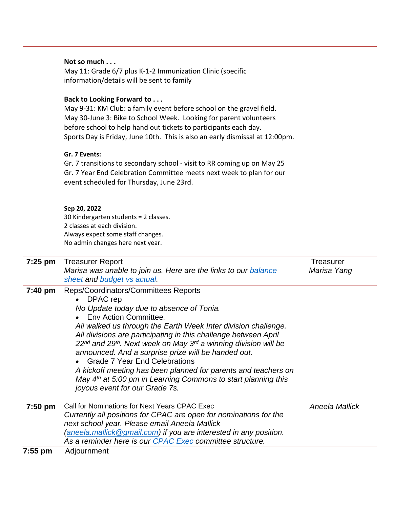#### **Not so much . . .**

May 11: Grade 6/7 plus K-1-2 Immunization Clinic (specific information/details will be sent to family

### **Back to Looking Forward to . . .**

May 9-31: KM Club: a family event before school on the gravel field. May 30-June 3: Bike to School Week. Looking for parent volunteers before school to help hand out tickets to participants each day. Sports Day is Friday, June 10th. This is also an early dismissal at 12:00pm.

#### **Gr. 7 Events:**

Gr. 7 transitions to secondary school - visit to RR coming up on May 25 Gr. 7 Year End Celebration Committee meets next week to plan for our event scheduled for Thursday, June 23rd.

#### **Sep 20, 2022**

30 Kindergarten students = 2 classes. 2 classes at each division. Always expect some staff changes. No admin changes here next year.

| $7:25$ pm         | <b>Treasurer Report</b>                                                               | Treasurer      |
|-------------------|---------------------------------------------------------------------------------------|----------------|
|                   | Marisa was unable to join us. Here are the links to our balance                       | Marisa Yang    |
|                   | sheet and budget vs actual.                                                           |                |
| $7:40 \text{ pm}$ | Reps/Coordinators/Committees Reports                                                  |                |
|                   | • DPAC rep                                                                            |                |
|                   | No Update today due to absence of Tonia.                                              |                |
|                   | Env Action Committee.                                                                 |                |
|                   | Ali walked us through the Earth Week Inter division challenge.                        |                |
|                   | All divisions are participating in this challenge between April                       |                |
|                   | $22^{nd}$ and $29^{th}$ . Next week on May 3 <sup>rd</sup> a winning division will be |                |
|                   | announced. And a surprise prize will be handed out.                                   |                |
|                   | <b>Grade 7 Year End Celebrations</b>                                                  |                |
|                   | A kickoff meeting has been planned for parents and teachers on                        |                |
|                   | May $4th$ at 5:00 pm in Learning Commons to start planning this                       |                |
|                   | joyous event for our Grade 7s.                                                        |                |
|                   |                                                                                       |                |
| $7:50$ pm         | Call for Nominations for Next Years CPAC Exec                                         | Aneela Mallick |
|                   | Currently all positions for CPAC are open for nominations for the                     |                |
|                   | next school year. Please email Aneela Mallick                                         |                |
|                   | (aneela.mallick@gmail.com) if you are interested in any position.                     |                |
|                   | As a reminder here is our CPAC Exec committee structure.                              |                |
| 7.55~nm           | Adjournmant                                                                           |                |

**7:55 pm** Adjournment